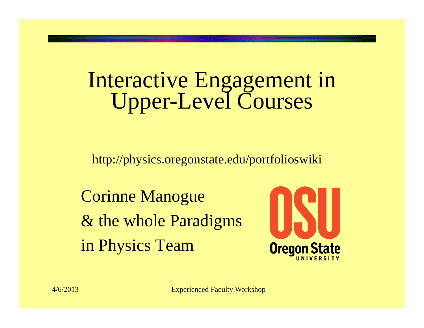#### Interactive Engagement in Upper-Level Courses

http://physics.oregonstate.edu/portfolioswiki

Corinne Manogue & the whole Paradigms in Physics Team

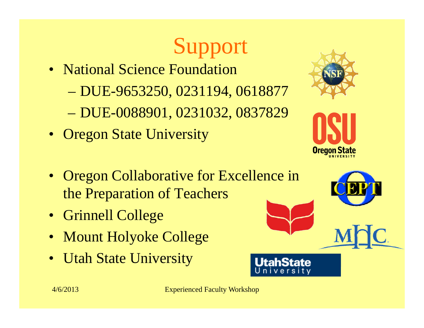# Support

- National Science Foundation
	- DUE-9653250, 0231194, 0618877
	- DUE-0088901, 0231032, 0837829
- Oregon State University





- Oregon Collaborative for Excellence in the Preparation of Teachers
- Grinnell College
- Mount Holyoke College
- Utah State University

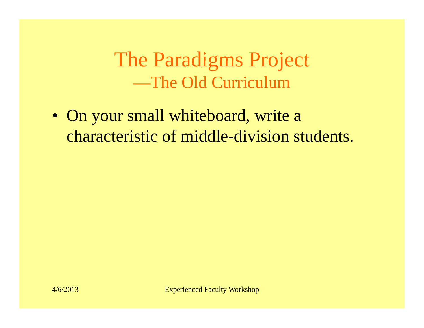The Paradigms Project —The Old Curriculum

• On your small whiteboard, write a characteristic of middle-division students.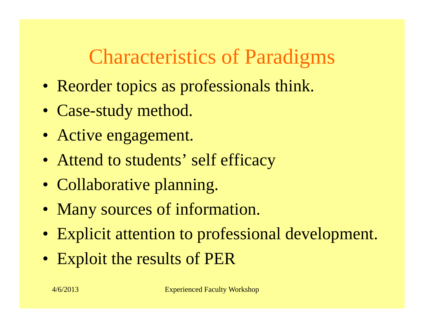#### Characteristics of Paradigms

- Reorder topics as professionals think.
- Case-study method.
- Active engagement.
- Attend to students' self efficacy
- Collaborative planning.
- Many sources of information.
- Explicit attention to professional development.
- Exploit the results of PER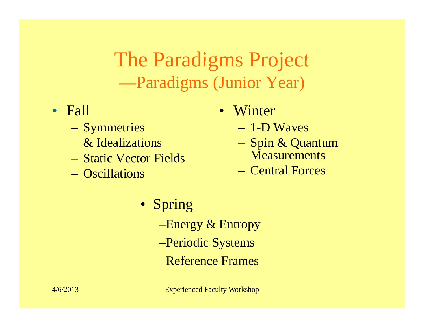The Paradigms Project —Paradigms (Junior Year)

- Fall
	- –**Symmetries** 
		- & Idealizations
	- Static Vector Fields
	- Oscillations
- Winter
	- 1-D Waves
- & Idealizations  $\alpha$  Spin & Quantum  $-$  phill **Measurements** 
	- Central Forces
	- Spring –Energy  $\&$  Entropy –Periodic Systems –Reference Frames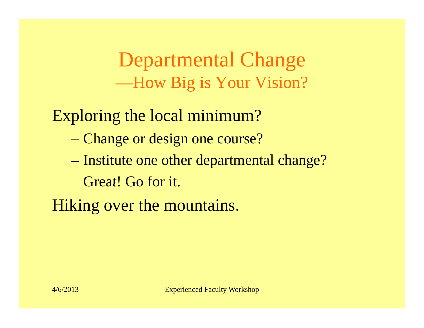Departmental Change —How Big is Your Vision?

Exploring the local minimum?

- Change or design one course?
- Institute one other departmental change? Great! Go for it.

Hiking over the mountains.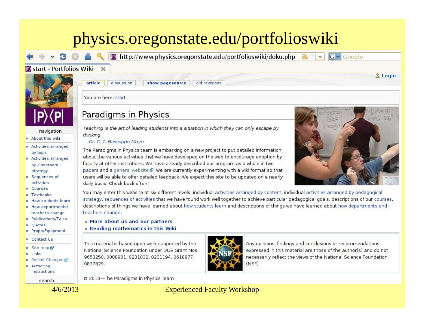#### physics.oregonstate.edu/portfolioswiki

**P** http://www.physics.oregonstate.edu/portfolioswiki/doku.php

P start - Portfolios Wiki



navigation

- $A$ bout this wiki
- $=$  Activities arranged by topic
- Activities arranged by classroom strategy
- $S$  Sequences of activities
- **E** Courses
- **E** Textbooks
- $How students learn$
- **E** How departments/ teachers change
- **Publications/Talks**
- **•** Quotes
- Props/Equipment
- **E** Contact Us
- Site map &
- Links
- Recent Changes
- $=$  Authoring Instructions

search

discussion show pagesource old revisions

You are here: start

article

 $\times$ 

#### Paradigms in Physics

Teaching is the art of leading students into a situation in which they can only escape by thinking.

- Dr. C. T. Bassoppo-Moyo

The Paradigms in Physics team is embarking on a new project to put detailed information about the various activities that we have developed on the web to encourage adoption by faculty at other institutions. We have already described our program as a whole in two papers and a general website &. We are currently experimenting with a wiki format so that users will be able to offer detailed feedback. We expect this site to be updated on a nearly daily basis. Check back often!

You may enter this website at six different levels; individual activities arranged by content, individual activities arranged by pedagogical strategy, sequences of activities that we have found work well together to achieve particular pedagogical goals, descriptions of our courses, descriptions of things we have learned about how students learn and descriptions of things we have learned about how departments and teachers change.

- . More about us and our partners
- **Reading mathematics in this Wiki**

This material is based upon work supported by the National Science Foundation under DUE Grant Nos. 9653250, 0088901, 0231032, 0231194, 0618877, 0837829.



Any opinions, findings and conclusions or recommendations expressed in this material are those of the author(s) and do not necessarily reflect the views of the National Science Foundation (NSF)

© 2010-The Paradigms in Physics Team

4/6/2013 Experienced Faculty Workshop



**IG** Google

& Login

a)

 $\checkmark$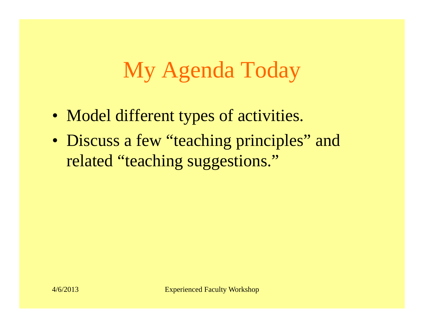# My Agenda Today

- Model different types of activities.
- Discuss a few "teaching principles" and related "teaching suggestions."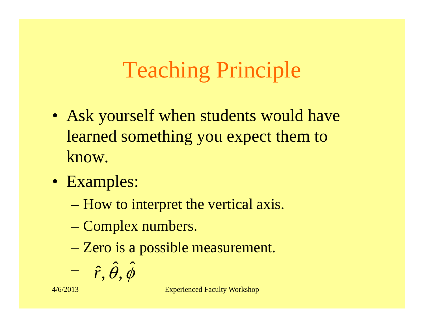# Teaching Principle

- Ask yourself when students would have learned something you expect them to know.
- Examples:
	- How to interpret the vertical axis.
	- Complex numbers.
	- Zero is a possible measurement.

$$
-\hat{r},\hat{\theta},\hat{\phi}
$$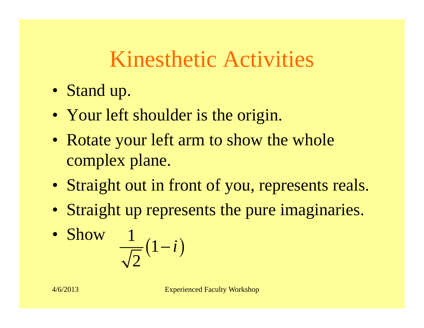#### Kinesthetic Activities

- Stand up.
- Your left shoulder is the origin.
- Rotate your left arm to show the whole complex plane.
- Straight out in front of you, represents reals.
- Straight up represents the pure imaginaries.

• Show 
$$
\frac{1}{\sqrt{2}}(1-i)
$$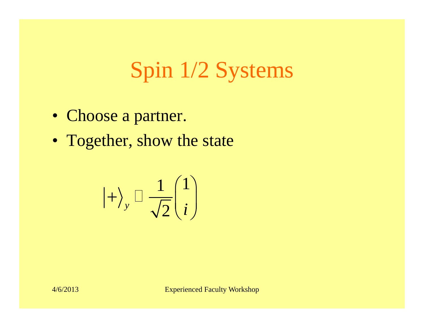# Spin 1/2 Systems

- Choose a partner.
- Together, show the state

$$
\ket{+}_{y} \Box \frac{1}{\sqrt{2}} \begin{pmatrix} 1 \\ i \end{pmatrix}
$$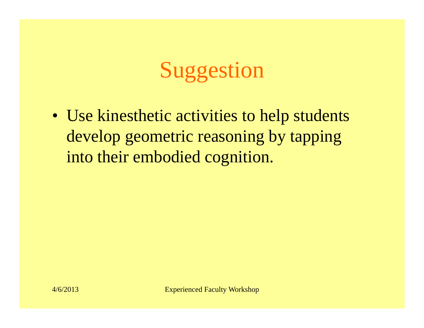# Suggestion

• Use kinesthetic activities to help students develop geometric reasoning by tapping into their embodied cognition.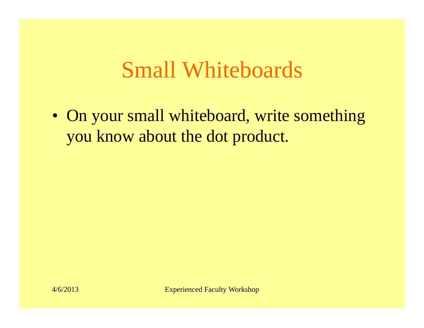#### Small Whiteboards

• On your small whiteboard, write something you know about the dot product.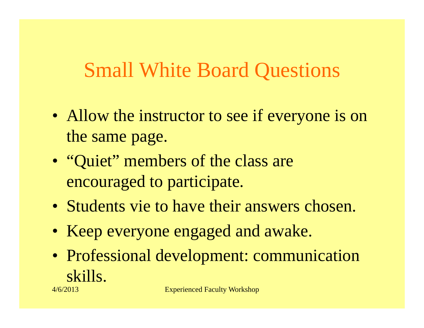#### Small White Board Questions

- Allow the instructor to see if everyone is on the same page.
- "Quiet" members of the class are encouraged to participate.
- Students vie to have their answers chosen.
- Keep everyone engaged and awake.
- Professional development: communication skills.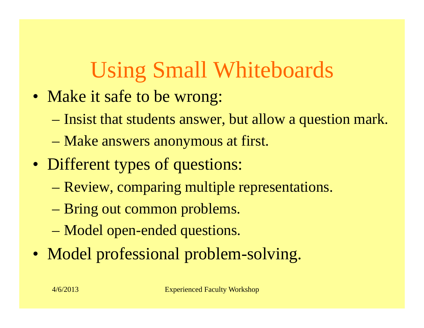# Using Small Whiteboards

- Make it safe to be wrong:
	- Insist that students answer, but allow a question mark.
	- Make answers anonymous at first.
- Different types of questions:
	- Review, comparing multiple representations.
	- Bring out common problems.
	- Model open-ended questions.
- Model professional problem-solving.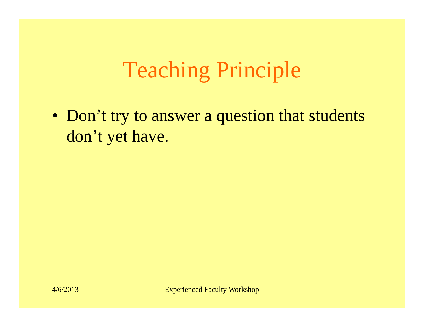# Teaching Principle

• Don't try to answer a question that students don't yet have.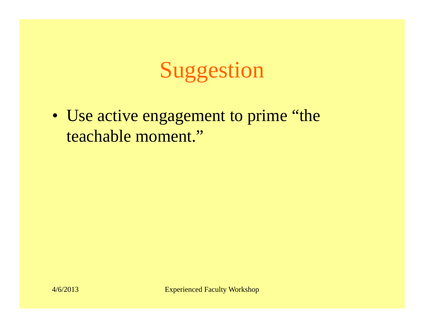# Suggestion

• Use active engagement to prime "the teachable moment."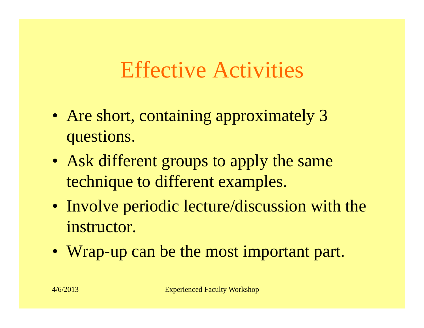#### Effective Activities

- Are short, containing approximately 3 questions.
- Ask different groups to apply the same technique to different examples.
- Involve periodic lecture/discussion with the instructor.
- Wrap-up can be the most important part.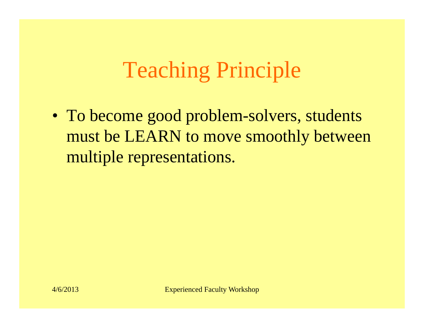# Teaching Principle

• To become good problem-solvers, students must be LEARN to move smoothl y between multiple representations.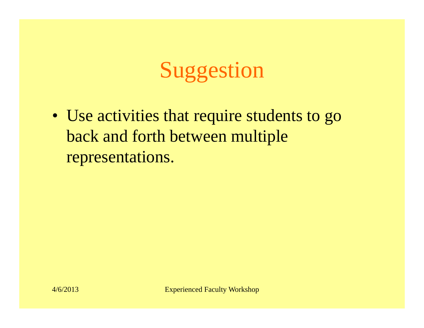# Suggestion

• Use activities that require students to go back and forth between multiple representations.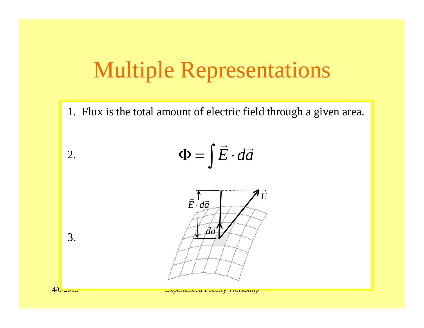#### Multiple Representations

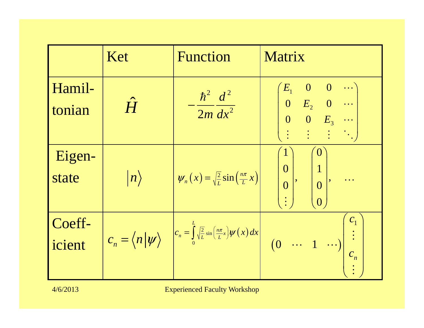|                  | Ket              | <b>Function</b>                                                                                                       | Matrix                                                                                                                                                                  |
|------------------|------------------|-----------------------------------------------------------------------------------------------------------------------|-------------------------------------------------------------------------------------------------------------------------------------------------------------------------|
| Hamil-<br>tonian | $\hat{H}$        | $-\frac{\hbar^2}{2m}\frac{d^2}{dx^2}$                                                                                 | $\begin{pmatrix} E_1 & 0 & 0 & \cdots \ 0 & E_2 & 0 & \cdots \end{pmatrix}$<br>$\begin{bmatrix} 0 & 0 & E_3 & \cdots \ \vdots & \vdots & \vdots & \ddots \end{bmatrix}$ |
| Eigen-<br>state  | $\vert n\rangle$ | $\psi_n(x) = \sqrt{\frac{2}{L}} \sin\left(\frac{n\pi}{L}x\right)$                                                     | $\bf{0}$<br>$\overline{0}$<br>$\Big\vert\begin{array}{c} \mathbf{0} \end{array} \Big\vert$<br>$\begin{bmatrix} 0 \end{bmatrix}$<br>$\overline{0}$                       |
| Coeff-<br>icient |                  | $c_n = \langle n   \psi \rangle$ $c_n = \int_0^L \sqrt{\frac{2}{L}} \sin \left( \frac{n \pi}{L} x \right) \psi(x) dx$ | c <sub>1</sub><br>$\begin{bmatrix} 0 & \cdots & 1 & \cdots \end{bmatrix}$<br>$c_n$                                                                                      |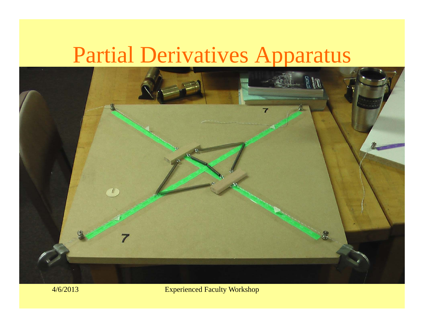#### Partial Derivatives Apparatus

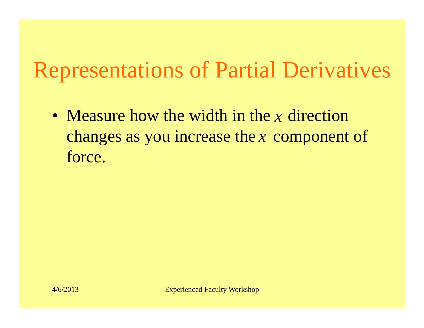# Representations of Partial Derivatives

• Measure how the width in the x direction changes as you increase the x component of force.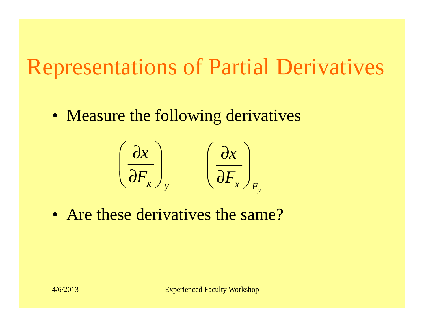#### Representations of Partial Derivati ations o Parti a Der ivatives

• Measure the following derivatives

$$
\left(\frac{\partial x}{\partial F_x}\right)_y \qquad \left(\frac{\partial x}{\partial F_x}\right)_{F_y}
$$

• Are these derivatives the same?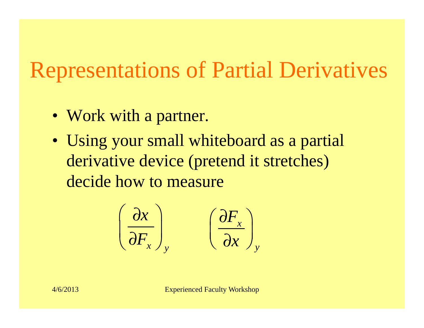# Representations of Partial Derivatives

- Work with a partner.
- Using your small whiteboard as <sup>a</sup> partial derivative device (pretend it stretches) decide how to measure

$$
\left(\frac{\partial x}{\partial F_x}\right)_y \qquad \left(\frac{\partial F_x}{\partial x}\right)_y
$$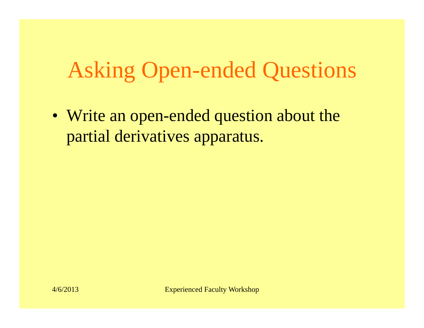### Asking Open-ended Questions

• Write an open-ended question about the partial derivatives apparatus.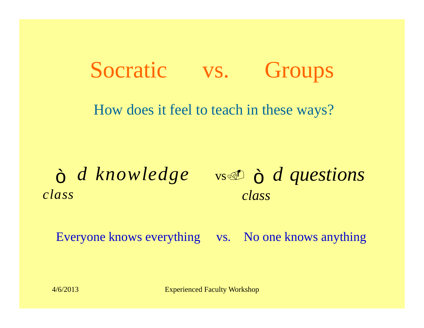#### Socratic vs. Groups

How does it feel to teach in these ways?

*class*

 $\delta$  *d knowledge* vs *o*  $\delta$  *d questions class*

Everyone knows everything vs. No one knows anything